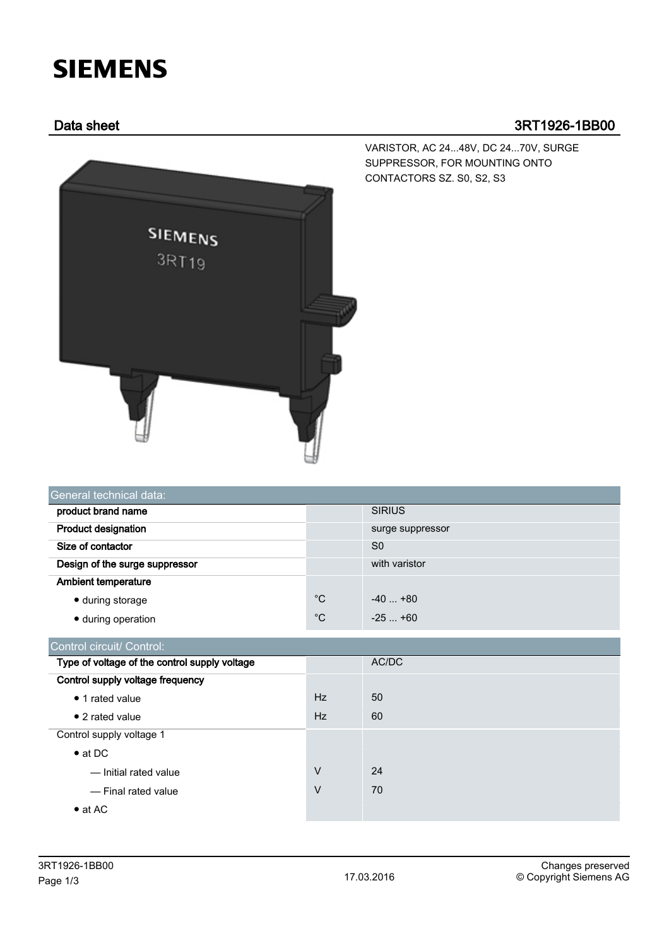## **SIEMENS**

## Data sheet 3RT1926-1BB00



VARISTOR, AC 24...48V, DC 24...70V, SURGE SUPPRESSOR, FOR MOUNTING ONTO CONTACTORS SZ. S0, S2, S3

| General technical data:        |             |                  |  |  |  |
|--------------------------------|-------------|------------------|--|--|--|
| product brand name             |             | <b>SIRIUS</b>    |  |  |  |
| <b>Product designation</b>     |             | surge suppressor |  |  |  |
| Size of contactor              |             | S <sub>0</sub>   |  |  |  |
| Design of the surge suppressor |             | with varistor    |  |  |  |
| <b>Ambient temperature</b>     |             |                  |  |  |  |
| • during storage               | $^{\circ}C$ | $-40+80$         |  |  |  |
| • during operation             | $^{\circ}C$ | $-25+60$         |  |  |  |

| Control circuit/ Control:                     |           |       |
|-----------------------------------------------|-----------|-------|
| Type of voltage of the control supply voltage |           | AC/DC |
| Control supply voltage frequency              |           |       |
| • 1 rated value                               | <b>Hz</b> | 50    |
| $\bullet$ 2 rated value                       | <b>Hz</b> | 60    |
| Control supply voltage 1                      |           |       |
| $\bullet$ at DC                               |           |       |
| - Initial rated value                         | $\vee$    | 24    |
| - Final rated value                           | V         | 70    |
| $\bullet$ at AC                               |           |       |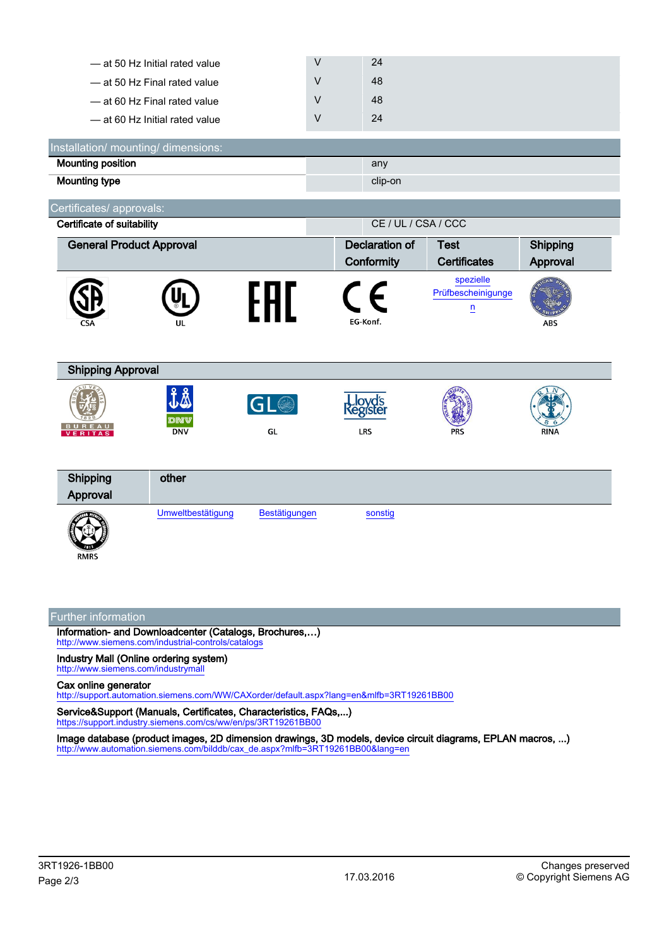| 24 |
|----|
| 48 |
| 48 |
| 24 |
|    |

| Installation/ mounting/ dimensions: |         |
|-------------------------------------|---------|
| <b>Mounting position</b>            | any     |
| Mounting type                       | clip-on |

Certificates/ approvals:

| $50.$ $\ldots$ $\ldots$ $\ldots$ $\ldots$ $\ldots$ $\ldots$ |                                                   |                       |                                   |                                                            |             |  |
|-------------------------------------------------------------|---------------------------------------------------|-----------------------|-----------------------------------|------------------------------------------------------------|-------------|--|
|                                                             | CE / UL / CSA / CCC<br>Certificate of suitability |                       |                                   |                                                            |             |  |
| <b>General Product Approval</b>                             |                                                   | <b>Declaration of</b> | <b>Test</b>                       | Shipping                                                   |             |  |
|                                                             |                                                   |                       | Conformity                        | <b>Certificates</b>                                        | Approval    |  |
| CSA                                                         | UL                                                |                       | EG-Konf.                          | spezielle<br>Prüfbescheinigunge<br>$\overline{\mathbf{n}}$ | <b>ABS</b>  |  |
| <b>Shipping Approval</b>                                    |                                                   |                       |                                   |                                                            |             |  |
| BUREAU<br><b>VERITAS</b>                                    | $J\Lambda$<br><b>DNV</b><br><b>DNV</b>            | <b>GL</b><br>GL       | Lloyd's<br>{egister<br><b>LRS</b> | <b>PRS</b>                                                 | <b>RINA</b> |  |
| Shipping<br>Approval                                        | other                                             |                       |                                   |                                                            |             |  |
| <b>And Line</b>                                             | Umweltbestätigung                                 | <b>Bestätigungen</b>  | sonstig                           |                                                            |             |  |

## Further information

**RMRS** 

Information- and Downloadcenter (Catalogs, Brochures,…) <http://www.siemens.com/industrial-controls/catalogs>

Industry Mall (Online ordering system) <http://www.siemens.com/industrymall>

Cax online generator

<http://support.automation.siemens.com/WW/CAXorder/default.aspx?lang=en&mlfb=3RT19261BB00>

Service&Support (Manuals, Certificates, Characteristics, FAQs,...) <https://support.industry.siemens.com/cs/ww/en/ps/3RT19261BB00>

Image database (product images, 2D dimension drawings, 3D models, device circuit diagrams, EPLAN macros, ...) [http://www.automation.siemens.com/bilddb/cax\\_de.aspx?mlfb=3RT19261BB00&lang=en](http://www.automation.siemens.com/bilddb/cax_de.aspx?mlfb=3RT19261BB00&lang=en)